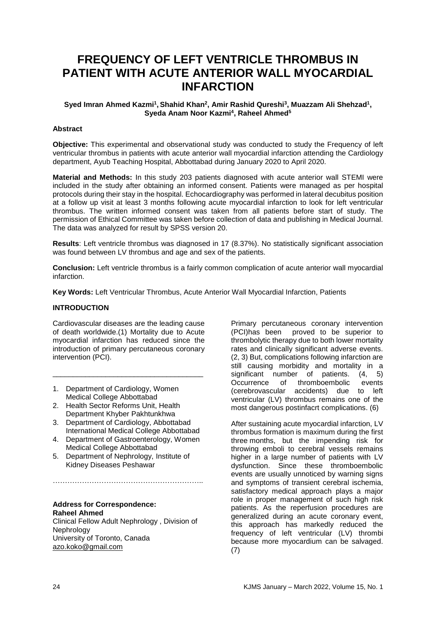# **FREQUENCY OF LEFT VENTRICLE THROMBUS IN PATIENT WITH ACUTE ANTERIOR WALL MYOCARDIAL INFARCTION**

## **Syed Imran Ahmed Kazmi<sup>1</sup> , Shahid Khan<sup>2</sup> , Amir Rashid Qureshi<sup>3</sup> , Muazzam Ali Shehzad<sup>1</sup> , Syeda Anam Noor Kazmi<sup>4</sup> , Raheel Ahmed<sup>5</sup>**

#### **Abstract**

**Objective:** This experimental and observational study was conducted to study the Frequency of left ventricular thrombus in patients with acute anterior wall myocardial infarction attending the Cardiology department, Ayub Teaching Hospital, Abbottabad during January 2020 to April 2020.

**Material and Methods:** In this study 203 patients diagnosed with acute anterior wall STEMI were included in the study after obtaining an informed consent. Patients were managed as per hospital protocols during their stay in the hospital. Echocardiography was performed in lateral decubitus position at a follow up visit at least 3 months following acute myocardial infarction to look for left ventricular thrombus. The written informed consent was taken from all patients before start of study. The permission of Ethical Committee was taken before collection of data and publishing in Medical Journal. The data was analyzed for result by SPSS version 20.

**Results**: Left ventricle thrombus was diagnosed in 17 (8.37%). No statistically significant association was found between LV thrombus and age and sex of the patients.

**Conclusion:** Left ventricle thrombus is a fairly common complication of acute anterior wall myocardial infarction.

**Key Words:** Left Ventricular Thrombus, Acute Anterior Wall Myocardial Infarction, Patients

#### **INTRODUCTION**

Cardiovascular diseases are the leading cause of death worldwide.(1) Mortality due to Acute myocardial infarction has reduced since the introduction of primary percutaneous coronary intervention (PCI).

\_\_\_\_\_\_\_\_\_\_\_\_\_\_\_\_\_\_\_\_\_\_\_\_\_\_\_\_\_\_\_\_\_\_\_\_\_

- 1. Department of Cardiology, Women Medical College Abbottabad
- 2. Health Sector Reforms Unit, Health Department Khyber Pakhtunkhwa
- 3. Department of Cardiology, Abbottabad International Medical College Abbottabad
- 4. Department of Gastroenterology, Women Medical College Abbottabad
- 5. Department of Nephrology, Institute of Kidney Diseases Peshawar

……………………………………………………..

**Address for Correspondence: Raheel Ahmed**

Clinical Fellow Adult Nephrology , Division of **Nephrology** University of Toronto, Canada [azo.koko@gmail.com](mailto:azo.koko@gmail.com)

Primary percutaneous coronary intervention (PCI)has been proved to be superior to thrombolytic therapy due to both lower mortality rates and clinically significant adverse events. (2, 3) But, complications following infarction are still causing morbidity and mortality in a significant number of patients. (4, 5) Occurrence of thromboembolic events (cerebrovascular accidents) due to left ventricular (LV) thrombus remains one of the most dangerous postinfacrt complications. (6)

After sustaining acute myocardial infarction, LV thrombus formation is maximum during the first three months, but the impending risk for throwing emboli to cerebral vessels remains higher in a large number of patients with LV dysfunction. Since these thromboembolic events are usually unnoticed by warning signs and symptoms of transient cerebral ischemia, satisfactory medical approach plays a major role in proper management of such high risk patients. As the reperfusion procedures are generalized during an acute coronary event, this approach has markedly reduced the frequency of left ventricular (LV) thrombi because more myocardium can be salvaged. (7)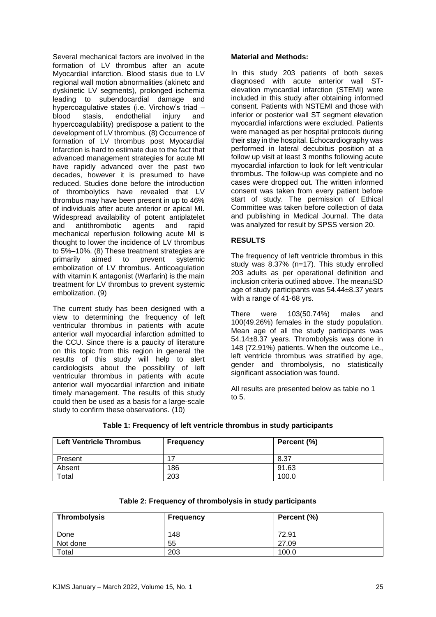Several mechanical factors are involved in the formation of LV thrombus after an acute Myocardial infarction. Blood stasis due to LV regional wall motion abnormalities (akinetc and dyskinetic LV segments), prolonged ischemia leading to subendocardial damage and hypercoagulative states (i.e. Virchow's triad –<br>blood stasis endothelial injury and stasis, endothelial injury and hypercoagulability) predispose a patient to the development of LV thrombus. (8) Occurrence of formation of LV thrombus post Myocardial Infarction is hard to estimate due to the fact that advanced management strategies for acute MI have rapidly advanced over the past two decades, however it is presumed to have reduced. Studies done before the introduction of thrombolytics have revealed that LV thrombus may have been present in up to 46% of individuals after acute anterior or apical MI. Widespread availability of potent antiplatelet and antithrombotic agents and rapid mechanical reperfusion following acute MI is thought to lower the incidence of LV thrombus to 5%–10%. (8) These treatment strategies are primarily aimed to prevent systemic embolization of LV thrombus. Anticoagulation with vitamin K antagonist (Warfarin) is the main treatment for LV thrombus to prevent systemic embolization. (9)

The current study has been designed with a view to determining the frequency of left ventricular thrombus in patients with acute anterior wall myocardial infarction admitted to the CCU. Since there is a paucity of literature on this topic from this region in general the results of this study will help to alert cardiologists about the possibility of left ventricular thrombus in patients with acute anterior wall myocardial infarction and initiate timely management. The results of this study could then be used as a basis for a large-scale study to confirm these observations. (10)

## **Material and Methods:**

In this study 203 patients of both sexes diagnosed with acute anterior wall STelevation myocardial infarction (STEMI) were included in this study after obtaining informed consent. Patients with NSTEMI and those with inferior or posterior wall ST segment elevation myocardial infarctions were excluded. Patients were managed as per hospital protocols during their stay in the hospital. Echocardiography was performed in lateral decubitus position at a follow up visit at least 3 months following acute myocardial infarction to look for left ventricular thrombus. The follow-up was complete and no cases were dropped out. The written informed consent was taken from every patient before start of study. The permission of Ethical Committee was taken before collection of data and publishing in Medical Journal. The data was analyzed for result by SPSS version 20.

## **RESULTS**

The frequency of left ventricle thrombus in this study was 8.37% (n=17). This study enrolled 203 adults as per operational definition and inclusion criteria outlined above. The mean±SD age of study participants was 54.44±8.37 years with a range of 41-68 yrs.

There were 103(50.74%) males and 100(49.26%) females in the study population. Mean age of all the study participants was 54.14±8.37 years. Thrombolysis was done in 148 (72.91%) patients. When the outcome i.e., left ventricle thrombus was stratified by age, gender and thrombolysis, no statistically significant association was found.

All results are presented below as table no 1 to 5.

| <b>Left Ventricle Thrombus</b> | <b>Frequency</b> | Percent (%) |
|--------------------------------|------------------|-------------|
| Present                        | 47               | 8.37        |
| Absent                         | 186              | 91.63       |
| Total                          | 203              | 100.0       |

## **Table 1: Frequency of left ventricle thrombus in study participants**

| <b>Table L. I Tequency of an onloopers in staay participants</b> |                  |             |  |  |
|------------------------------------------------------------------|------------------|-------------|--|--|
| Thrombolysis                                                     | <b>Frequency</b> | Percent (%) |  |  |
| Done                                                             | 148              | 72.91       |  |  |
| Not done                                                         | 55               | 27.09       |  |  |

Total 203 100.0

# **Table 2: Frequency of thrombolysis in study participants**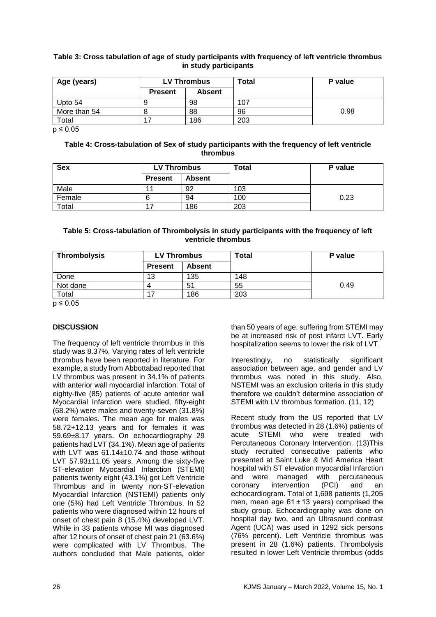## **Table 3: Cross tabulation of age of study participants with frequency of left ventricle thrombus in study participants**

| Age (years)  | <b>LV Thrombus</b> |               | Total | P value |
|--------------|--------------------|---------------|-------|---------|
|              | <b>Present</b>     | <b>Absent</b> |       |         |
| Upto 54      |                    | 98            | 107   |         |
| More than 54 |                    | 88            | 96    | 0.98    |
| Total        |                    | 186           | 203   |         |

 $p \leq 0.05$ 

#### **Table 4: Cross-tabulation of Sex of study participants with the frequency of left ventricle thrombus**

| <b>Sex</b> | <b>LV Thrombus</b> |               | Total | P value |
|------------|--------------------|---------------|-------|---------|
|            | <b>Present</b>     | <b>Absent</b> |       |         |
| Male       |                    | 92            | 103   |         |
| Female     |                    | 94            | 100   | 0.23    |
| Total      | ⇁                  | 186           | 203   |         |

## **Table 5: Cross-tabulation of Thrombolysis in study participants with the frequency of left ventricle thrombus**

| Thrombolysis | <b>LV Thrombus</b> |               | Total | P value |
|--------------|--------------------|---------------|-------|---------|
|              | <b>Present</b>     | <b>Absent</b> |       |         |
| Done         | 13                 | 135           | 148   |         |
| Not done     |                    | 51            | 55    | 0.49    |
| $\tau$ otal  | 17                 | 186           | 203   |         |

 $p \leq 0.05$ 

# **DISCUSSION**

The frequency of left ventricle thrombus in this study was 8.37%. Varying rates of left ventricle thrombus have been reported in literature. For example, a study from Abbottabad reported that LV thrombus was present in 34.1% of patients with anterior wall myocardial infarction. Total of eighty-five (85) patients of acute anterior wall Myocardial Infarction were studied, fifty-eight (68.2%) were males and twenty-seven (31.8%) were females. The mean age for males was 58.72+12.13 years and for females it was 59.69±8.17 years. On echocardiography 29 patients had LVT (34.1%). Mean age of patients with LVT was 61.14±10.74 and those without LVT 57.93±11.05 years. Among the sixty-five ST-elevation Myocardial Infarction (STEMI) patients twenty eight (43.1%) got Left Ventricle Thrombus and in twenty non-ST-elevation Myocardial Infarction (NSTEMI) patients only one (5%) had Left Ventricle Thrombus. In 52 patients who were diagnosed within 12 hours of onset of chest pain 8 (15.4%) developed LVT. While in 33 patients whose MI was diagnosed after 12 hours of onset of chest pain 21 (63.6%) were complicated with LV Thrombus. The authors concluded that Male patients, older

than 50 years of age, suffering from STEMI may be at increased risk of post infarct LVT. Early hospitalization seems to lower the risk of LVT.

Interestingly, no statistically significant association between age, and gender and LV thrombus was noted in this study. Also, NSTEMI was an exclusion criteria in this study therefore we couldn't determine association of STEMI with LV thrombus formation. (11, 12)

Recent study from the US reported that LV thrombus was detected in 28 (1.6%) patients of acute STEMI who were treated with Percutaneous Coronary Intervention. (13)This study recruited consecutive patients who presented at Saint Luke & Mid America Heart hospital with ST elevation myocardial Infarction and were managed with percutaneous coronary intervention (PCI) and an echocardiogram. Total of 1,698 patients (1,205 men, mean age 61 ± 13 years) comprised the study group. Echocardiography was done on hospital day two, and an Ultrasound contrast Agent (UCA) was used in 1292 sick persons (76% percent). Left Ventricle thrombus was present in 28 (1.6%) patients. Thrombolysis resulted in lower Left Ventricle thrombus (odds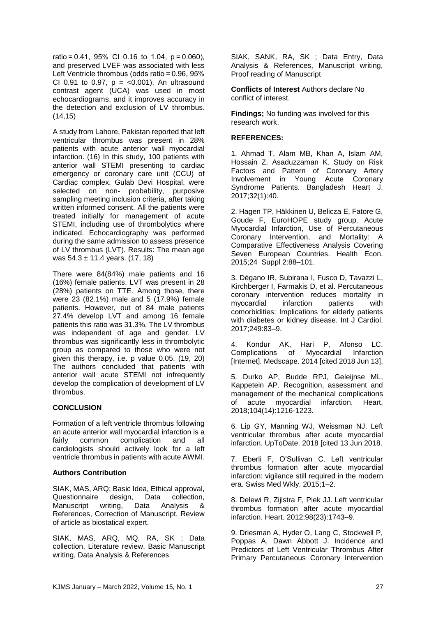ratio = 0.41, 95% CI 0.16 to 1.04, p = 0.060), and preserved LVEF was associated with less Left Ventricle thrombus (odds ratio = 0.96, 95% CI 0.91 to 0.97,  $p = < 0.001$ ). An ultrasound contrast agent (UCA) was used in most echocardiograms, and it improves accuracy in the detection and exclusion of LV thrombus. (14,15)

A study from Lahore, Pakistan reported that left ventricular thrombus was present in 28% patients with acute anterior wall myocardial infarction. (16) In this study, 100 patients with anterior wall STEMI presenting to cardiac emergency or coronary care unit (CCU) of Cardiac complex, Gulab Devi Hospital, were selected on non- probability, purposive sampling meeting inclusion criteria, after taking written informed consent. All the patients were treated initially for management of acute STEMI, including use of thrombolytics where indicated. Echocardiography was performed during the same admission to assess presence of LV thrombus (LVT). Results: The mean age was  $54.3 \pm 11.4$  years. (17, 18)

There were 84(84%) male patients and 16 (16%) female patients. LVT was present in 28 (28%) patients on TTE. Among those, there were 23 (82.1%) male and 5 (17.9%) female patients. However, out of 84 male patients 27.4% develop LVT and among 16 female patients this ratio was 31.3%. The LV thrombus was independent of age and gender. LV thrombus was significantly less in thrombolytic group as compared to those who were not given this therapy, i.e. p value 0.05. (19, 20) The authors concluded that patients with anterior wall acute STEMI not infrequently develop the complication of development of LV thrombus.

## **CONCLUSION**

Formation of a left ventricle thrombus following an acute anterior wall myocardial infarction is a fairly common complication and all cardiologists should actively look for a left ventricle thrombus in patients with acute AWMI.

## **Authors Contribution**

SIAK, MAS, ARQ; Basic Idea, Ethical approval, Questionnaire design, Data collection, Manuscript writing, Data Analysis & References, Correction of Manuscript, Review of article as biostatical expert.

SIAK, MAS, ARQ, MQ, RA, SK ; Data collection, Literature review, Basic Manuscript writing, Data Analysis & References

SIAK, SANK, RA, SK ; Data Entry, Data Analysis & References, Manuscript writing, Proof reading of Manuscript

**Conflicts of Interest** Authors declare No conflict of interest.

**Findings;** No funding was involved for this research work.

# **REFERENCES:**

1. Ahmad T, Alam MB, Khan A, Islam AM, Hossain Z, Asaduzzaman K. Study on Risk Factors and Pattern of Coronary Artery Involvement in Young Acute Coronary Syndrome Patients. Bangladesh Heart J. 2017;32(1):40.

2. Hagen TP, Häkkinen U, Belicza E, Fatore G, Goude F, EuroHOPE study group. Acute Myocardial Infarction, Use of Percutaneous Coronary Intervention, and Mortality: A Comparative Effectiveness Analysis Covering Seven European Countries. Health Econ. 2015;24 Suppl 2:88–101.

3. Dégano IR, Subirana I, Fusco D, Tavazzi L, Kirchberger I, Farmakis D, et al. Percutaneous coronary intervention reduces mortality in myocardial infarction patients with comorbidities: Implications for elderly patients with diabetes or kidney disease. Int J Cardiol. 2017;249:83–9.

4. Kondur AK, Hari P, Afonso LC. Complications of Myocardial Infarction [Internet]. Medscape. 2014 [cited 2018 Jun 13].

5. Durko AP, Budde RPJ, Geleijnse ML, Kappetein AP. Recognition, assessment and management of the mechanical complications of acute myocardial infarction. Heart. 2018;104(14):1216-1223.

6. Lip GY, Manning WJ, Weissman NJ. Left ventricular thrombus after acute myocardial infarction. UpToDate. 2018 [cited 13 Jun 2018.

7. Eberli F, O'Sullivan C. Left ventricular thrombus formation after acute myocardial infarction: vigilance still required in the modern era. Swiss Med Wkly. 2015;1–2.

8. Delewi R, Zijlstra F, Piek JJ. Left ventricular thrombus formation after acute myocardial infarction. Heart. 2012;98(23):1743–9.

9. Driesman A, Hyder O, Lang C, Stockwell P, Poppas A, Dawn Abbott J. Incidence and Predictors of Left Ventricular Thrombus After Primary Percutaneous Coronary Intervention